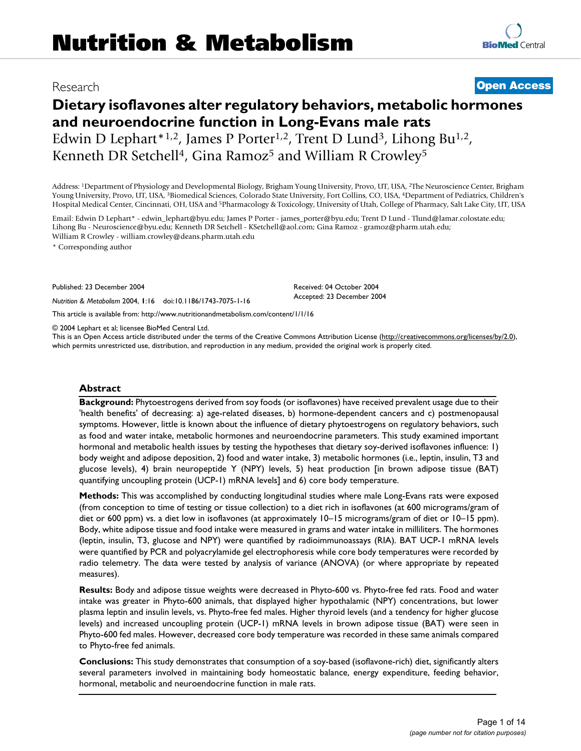# **Dietary isoflavones alter regulatory behaviors, metabolic hormones and neuroendocrine function in Long-Evans male rats** Edwin D Lephart\*1,2, James P Porter<sup>1,2</sup>, Trent D Lund<sup>3</sup>, Lihong Bu<sup>1,2</sup>, Kenneth DR Setchell<sup>4</sup>, Gina Ramoz<sup>5</sup> and William R Crowley<sup>5</sup>

Address: 1Department of Physiology and Developmental Biology, Brigham Young University, Provo, UT, USA, 2The Neuroscience Center, Brigham Young University, Provo, UT, USA, 3Biomedical Sciences, Colorado State University, Fort Collins, CO, USA, 4Department of Pediatrics, Children's Hospital Medical Center, Cincinnati, OH, USA and 5Pharmacology & Toxicology, University of Utah, College of Pharmacy, Salt Lake City, UT, USA

Email: Edwin D Lephart\* - edwin\_lephart@byu.edu; James P Porter - james\_porter@byu.edu; Trent D Lund - Tlund@lamar.colostate.edu; Lihong Bu - Neuroscience@byu.edu; Kenneth DR Setchell - KSetchell@aol.com; Gina Ramoz - gramoz@pharm.utah.edu; William R Crowley - william.crowley@deans.pharm.utah.edu

\* Corresponding author

Published: 23 December 2004

*Nutrition & Metabolism* 2004, **1**:16 doi:10.1186/1743-7075-1-16

[This article is available from: http://www.nutritionandmetabolism.com/content/1/1/16](http://www.nutritionandmetabolism.com/content/1/1/16)

© 2004 Lephart et al; licensee BioMed Central Ltd.

This is an Open Access article distributed under the terms of the Creative Commons Attribution License [\(http://creativecommons.org/licenses/by/2.0\)](http://creativecommons.org/licenses/by/2.0), which permits unrestricted use, distribution, and reproduction in any medium, provided the original work is properly cited.

Received: 04 October 2004 Accepted: 23 December 2004

#### **Abstract**

**Background:** Phytoestrogens derived from soy foods (or isoflavones) have received prevalent usage due to their 'health benefits' of decreasing: a) age-related diseases, b) hormone-dependent cancers and c) postmenopausal symptoms. However, little is known about the influence of dietary phytoestrogens on regulatory behaviors, such as food and water intake, metabolic hormones and neuroendocrine parameters. This study examined important hormonal and metabolic health issues by testing the hypotheses that dietary soy-derived isoflavones influence: 1) body weight and adipose deposition, 2) food and water intake, 3) metabolic hormones (i.e., leptin, insulin, T3 and glucose levels), 4) brain neuropeptide Y (NPY) levels, 5) heat production [in brown adipose tissue (BAT) quantifying uncoupling protein (UCP-1) mRNA levels] and 6) core body temperature.

**Methods:** This was accomplished by conducting longitudinal studies where male Long-Evans rats were exposed (from conception to time of testing or tissue collection) to a diet rich in isoflavones (at 600 micrograms/gram of diet or 600 ppm) vs. a diet low in isoflavones (at approximately 10–15 micrograms/gram of diet or 10–15 ppm). Body, white adipose tissue and food intake were measured in grams and water intake in milliliters. The hormones (leptin, insulin, T3, glucose and NPY) were quantified by radioimmunoassays (RIA). BAT UCP-1 mRNA levels were quantified by PCR and polyacrylamide gel electrophoresis while core body temperatures were recorded by radio telemetry. The data were tested by analysis of variance (ANOVA) (or where appropriate by repeated measures).

**Results:** Body and adipose tissue weights were decreased in Phyto-600 vs. Phyto-free fed rats. Food and water intake was greater in Phyto-600 animals, that displayed higher hypothalamic (NPY) concentrations, but lower plasma leptin and insulin levels, vs. Phyto-free fed males. Higher thyroid levels (and a tendency for higher glucose levels) and increased uncoupling protein (UCP-1) mRNA levels in brown adipose tissue (BAT) were seen in Phyto-600 fed males. However, decreased core body temperature was recorded in these same animals compared to Phyto-free fed animals.

**Conclusions:** This study demonstrates that consumption of a soy-based (isoflavone-rich) diet, significantly alters several parameters involved in maintaining body homeostatic balance, energy expenditure, feeding behavior, hormonal, metabolic and neuroendocrine function in male rats.

Research **[Open Access](http://www.biomedcentral.com/info/about/charter/)**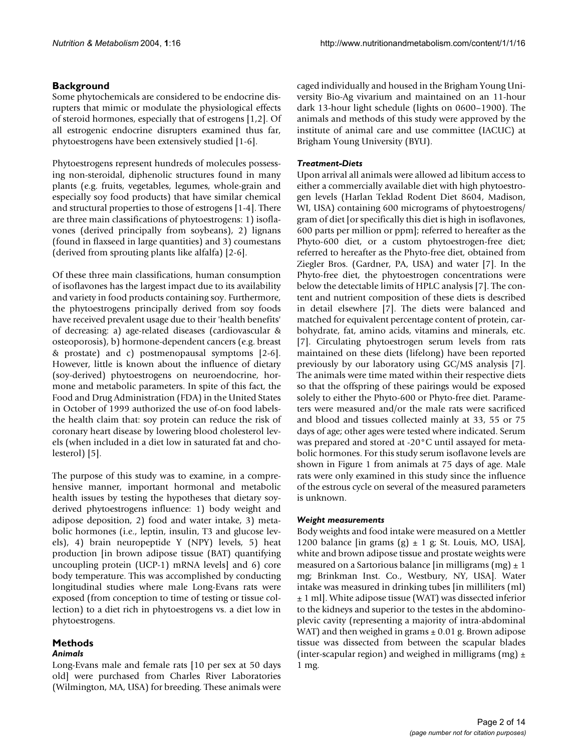# **Background**

Some phytochemicals are considered to be endocrine disrupters that mimic or modulate the physiological effects of steroid hormones, especially that of estrogens [1,2]. Of all estrogenic endocrine disrupters examined thus far, phytoestrogens have been extensively studied [1-6].

Phytoestrogens represent hundreds of molecules possessing non-steroidal, diphenolic structures found in many plants (e.g. fruits, vegetables, legumes, whole-grain and especially soy food products) that have similar chemical and structural properties to those of estrogens [1-4]. There are three main classifications of phytoestrogens: 1) isoflavones (derived principally from soybeans), 2) lignans (found in flaxseed in large quantities) and 3) coumestans (derived from sprouting plants like alfalfa) [2-6].

Of these three main classifications, human consumption of isoflavones has the largest impact due to its availability and variety in food products containing soy. Furthermore, the phytoestrogens principally derived from soy foods have received prevalent usage due to their 'health benefits' of decreasing: a) age-related diseases (cardiovascular & osteoporosis), b) hormone-dependent cancers (e.g. breast & prostate) and c) postmenopausal symptoms [2-6]. However, little is known about the influence of dietary (soy-derived) phytoestrogens on neuroendocrine, hormone and metabolic parameters. In spite of this fact, the Food and Drug Administration (FDA) in the United States in October of 1999 authorized the use of-on food labelsthe health claim that: soy protein can reduce the risk of coronary heart disease by lowering blood cholesterol levels (when included in a diet low in saturated fat and cholesterol) [5].

The purpose of this study was to examine, in a comprehensive manner, important hormonal and metabolic health issues by testing the hypotheses that dietary soyderived phytoestrogens influence: 1) body weight and adipose deposition, 2) food and water intake, 3) metabolic hormones (i.e., leptin, insulin, T3 and glucose levels), 4) brain neuropeptide Y (NPY) levels, 5) heat production [in brown adipose tissue (BAT) quantifying uncoupling protein (UCP-1) mRNA levels] and 6) core body temperature. This was accomplished by conducting longitudinal studies where male Long-Evans rats were exposed (from conception to time of testing or tissue collection) to a diet rich in phytoestrogens vs. a diet low in phytoestrogens.

# **Methods**

# *Animals*

Long-Evans male and female rats [10 per sex at 50 days old] were purchased from Charles River Laboratories (Wilmington, MA, USA) for breeding. These animals were caged individually and housed in the Brigham Young University Bio-Ag vivarium and maintained on an 11-hour dark 13-hour light schedule (lights on 0600–1900). The animals and methods of this study were approved by the institute of animal care and use committee (IACUC) at Brigham Young University (BYU).

# *Treatment-Diets*

Upon arrival all animals were allowed ad libitum access to either a commercially available diet with high phytoestrogen levels (Harlan Teklad Rodent Diet 8604, Madison, WI, USA) containing 600 micrograms of phytoestrogens/ gram of diet [or specifically this diet is high in isoflavones, 600 parts per million or ppm]; referred to hereafter as the Phyto-600 diet, or a custom phytoestrogen-free diet; referred to hereafter as the Phyto-free diet, obtained from Ziegler Bros. (Gardner, PA, USA) and water [7]. In the Phyto-free diet, the phytoestrogen concentrations were below the detectable limits of HPLC analysis [7]. The content and nutrient composition of these diets is described in detail elsewhere [7]. The diets were balanced and matched for equivalent percentage content of protein, carbohydrate, fat, amino acids, vitamins and minerals, etc. [7]. Circulating phytoestrogen serum levels from rats maintained on these diets (lifelong) have been reported previously by our laboratory using GC/MS analysis [7]. The animals were time mated within their respective diets so that the offspring of these pairings would be exposed solely to either the Phyto-600 or Phyto-free diet. Parameters were measured and/or the male rats were sacrificed and blood and tissues collected mainly at 33, 55 or 75 days of age; other ages were tested where indicated. Serum was prepared and stored at -20°C until assayed for metabolic hormones. For this study serum isoflavone levels are shown in Figure [1](#page-2-0) from animals at 75 days of age. Male rats were only examined in this study since the influence of the estrous cycle on several of the measured parameters is unknown.

# *Weight measurements*

Body weights and food intake were measured on a Mettler 1200 balance [in grams  $(g) \pm 1$  g; St. Louis, MO, USA], white and brown adipose tissue and prostate weights were measured on a Sartorious balance [in milligrams  $(mg) \pm 1$ ] mg; Brinkman Inst. Co., Westbury, NY, USA]. Water intake was measured in drinking tubes [in milliliters (ml) ± 1 ml]. White adipose tissue (WAT) was dissected inferior to the kidneys and superior to the testes in the abdominoplevic cavity (representing a majority of intra-abdominal WAT) and then weighed in grams  $\pm$  0.01 g. Brown adipose tissue was dissected from between the scapular blades (inter-scapular region) and weighed in milligrams (mg)  $\pm$ 1 mg.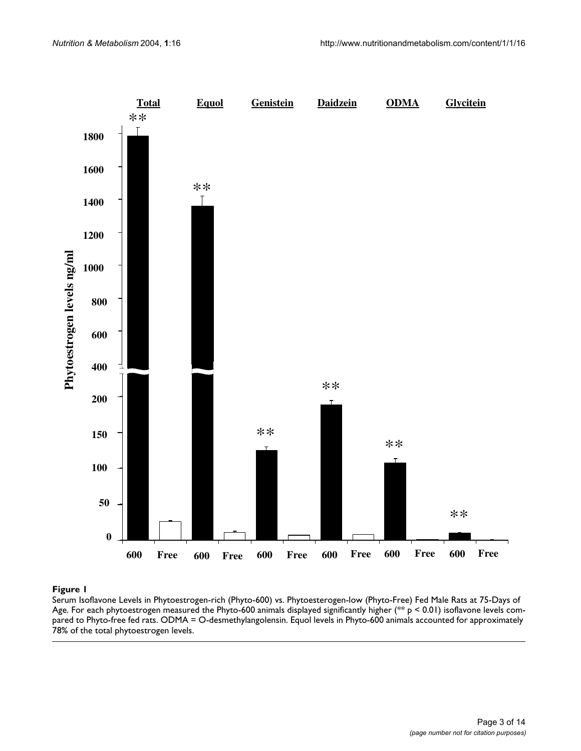<span id="page-2-0"></span>

#### Serum Isoflavone Levels in Phytoestrogen- Age **Figure 1** rich (Phyto-600) vs. Phytoesterogen-low (Phyto-Free) Fed Male Rats at 75-Days of

Serum Isoflavone Levels in Phytoestrogen-rich (Phyto-600) vs. Phytoesterogen-low (Phyto-Free) Fed Male Rats at 75-Days of Age. For each phytoestrogen measured the Phyto-600 animals displayed significantly higher (\*\* p < 0.01) isoflavone levels compared to Phyto-free fed rats. ODMA = O-desmethylangolensin. Equol levels in Phyto-600 animals accounted for approximately 78% of the total phytoestrogen levels.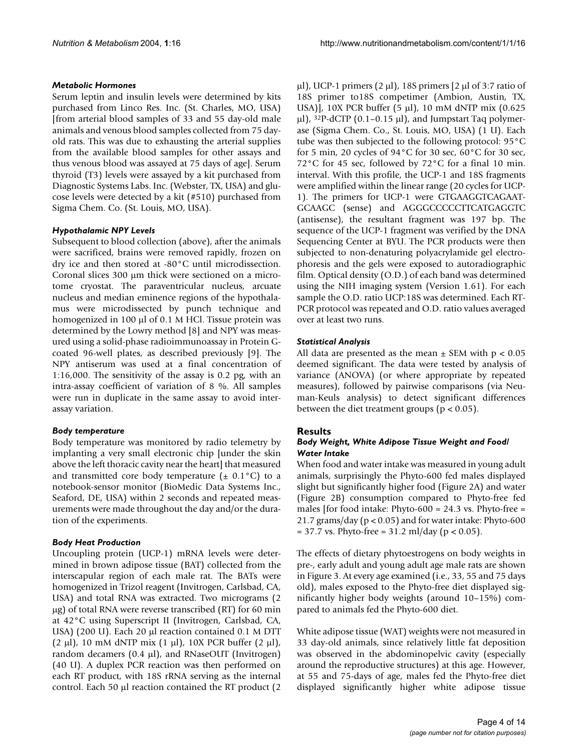# *Metabolic Hormones*

Serum leptin and insulin levels were determined by kits purchased from Linco Res. Inc. (St. Charles, MO, USA) [from arterial blood samples of 33 and 55 day-old male animals and venous blood samples collected from 75 dayold rats. This was due to exhausting the arterial supplies from the available blood samples for other assays and thus venous blood was assayed at 75 days of age]. Serum thyroid (T3) levels were assayed by a kit purchased from Diagnostic Systems Labs. Inc. (Webster, TX, USA) and glucose levels were detected by a kit (#510) purchased from Sigma Chem. Co. (St. Louis, MO, USA).

# *Hypothalamic NPY Levels*

Subsequent to blood collection (above), after the animals were sacrificed, brains were removed rapidly, frozen on dry ice and then stored at -80°C until microdissection. Coronal slices 300 µm thick were sectioned on a microtome cryostat. The paraventricular nucleus, arcuate nucleus and median eminence regions of the hypothalamus were microdissected by punch technique and homogenized in 100 µl of 0.1 M HCl. Tissue protein was determined by the Lowry method [8] and NPY was measured using a solid-phase radioimmunoassay in Protein Gcoated 96-well plates, as described previously [9]. The NPY antiserum was used at a final concentration of 1:16,000. The sensitivity of the assay is 0.2 pg, with an intra-assay coefficient of variation of 8 %. All samples were run in duplicate in the same assay to avoid interassay variation.

# *Body temperature*

Body temperature was monitored by radio telemetry by implanting a very small electronic chip [under the skin above the left thoracic cavity near the heart] that measured and transmitted core body temperature  $(\pm 0.1^{\circ}C)$  to a notebook-sensor monitor (BioMedic Data Systems Inc., Seaford, DE, USA) within 2 seconds and repeated measurements were made throughout the day and/or the duration of the experiments.

# *Body Heat Production*

Uncoupling protein (UCP-1) mRNA levels were determined in brown adipose tissue (BAT) collected from the interscapular region of each male rat. The BATs were homogenized in Trizol reagent (Invitrogen, Carlsbad, CA, USA) and total RNA was extracted. Two micrograms (2 µg) of total RNA were reverse transcribed (RT) for 60 min at 42°C using Superscript II (Invitrogen, Carlsbad, CA, USA) (200 U). Each 20 µl reaction contained 0.1 M DTT  $(2 \mu l)$ , 10 mM dNTP mix  $(1 \mu l)$ , 10X PCR buffer  $(2 \mu l)$ , random decamers  $(0.4 \mu l)$ , and RNaseOUT (Invitrogen) (40 U). A duplex PCR reaction was then performed on each RT product, with 18S rRNA serving as the internal control. Each 50 µl reaction contained the RT product (2

 $\mu$ l), UCP-1 primers (2  $\mu$ l), 18S primers [2  $\mu$ l of 3:7 ratio of 18S primer to18S competimer (Ambion, Austin, TX, USA)], 10X PCR buffer (5 µl), 10 mM dNTP mix (0.625  $\mu$ l), <sup>32</sup>P-dCTP (0.1–0.15  $\mu$ l), and Jumpstart Taq polymerase (Sigma Chem. Co., St. Louis, MO, USA) (1 U). Each tube was then subjected to the following protocol: 95°C for 5 min, 20 cycles of  $94^{\circ}$ C for 30 sec, 60 $^{\circ}$ C for 30 sec, 72°C for 45 sec, followed by 72°C for a final 10 min. interval. With this profile, the UCP-1 and 18S fragments were amplified within the linear range (20 cycles for UCP-1). The primers for UCP-1 were GTGAAGGTCAGAAT-GCAAGC (sense) and AGGGCCCCCTTCATGAGGTC (antisense), the resultant fragment was 197 bp. The sequence of the UCP-1 fragment was verified by the DNA Sequencing Center at BYU. The PCR products were then subjected to non-denaturing polyacrylamide gel electrophoresis and the gels were exposed to autoradiographic film. Optical density (O.D.) of each band was determined using the NIH imaging system (Version 1.61). For each sample the O.D. ratio UCP:18S was determined. Each RT-PCR protocol was repeated and O.D. ratio values averaged over at least two runs.

# *Statistical Analysis*

All data are presented as the mean  $\pm$  SEM with p < 0.05 deemed significant. The data were tested by analysis of variance (ANOVA) (or where appropriate by repeated measures), followed by pairwise comparisons (via Neuman-Keuls analysis) to detect significant differences between the diet treatment groups ( $p < 0.05$ ).

# **Results**

# *Body Weight, White Adipose Tissue Weight and Food/ Water Intake*

When food and water intake was measured in young adult animals, surprisingly the Phyto-600 fed males displayed slight but significantly higher food (Figure [2A](#page-4-0)) and water (Figure [2B](#page-4-0)) consumption compared to Phyto-free fed males [for food intake: Phyto-600 =  $24.3$  vs. Phyto-free = 21.7 grams/day (p < 0.05) and for water intake: Phyto-600  $= 37.7$  vs. Phyto-free  $= 31.2$  ml/day (p < 0.05).

The effects of dietary phytoestrogens on body weights in pre-, early adult and young adult age male rats are shown in Figure [3](#page-5-0). At every age examined (i.e., 33, 55 and 75 days old), males exposed to the Phyto-free diet displayed significantly higher body weights (around 10–15%) compared to animals fed the Phyto-600 diet.

White adipose tissue (WAT) weights were not measured in 33 day-old animals, since relatively little fat deposition was observed in the abdominopelvic cavity (especially around the reproductive structures) at this age. However, at 55 and 75-days of age, males fed the Phyto-free diet displayed significantly higher white adipose tissue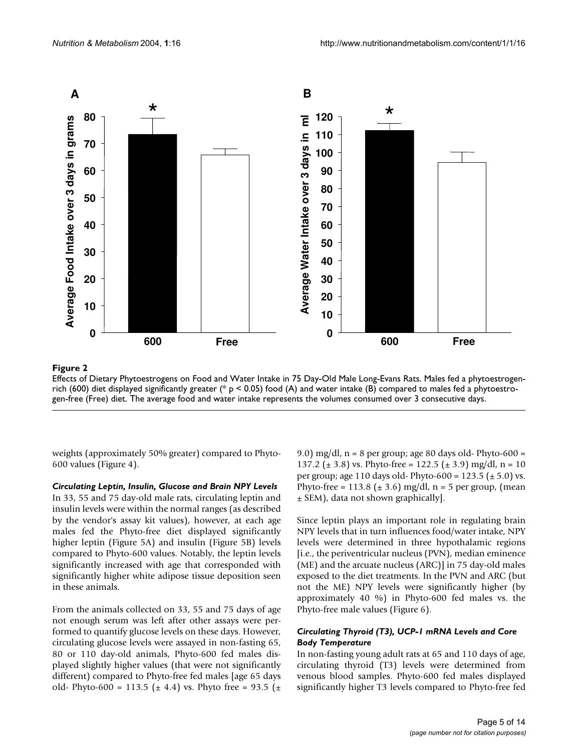<span id="page-4-0"></span>

# Effects of Dietary Phytoestrogens on Food and Wa **Figure 2** ter Intake in 75 Day-Old Male Long-Evans Rats

Effects of Dietary Phytoestrogens on Food and Water Intake in 75 Day-Old Male Long-Evans Rats. Males fed a phytoestrogenrich (600) diet displayed significantly greater (\*  $p < 0.05$ ) food (A) and water intake (B) compared to males fed a phytoestrogen-free (Free) diet. The average food and water intake represents the volumes consumed over 3 consecutive days.

weights (approximately 50% greater) compared to Phyto-600 values (Figure 4).

#### *Circulating Leptin, Insulin, Glucose and Brain NPY Levels*

In 33, 55 and 75 day-old male rats, circulating leptin and insulin levels were within the normal ranges (as described by the vendor's assay kit values), however, at each age males fed the Phyto-free diet displayed significantly higher leptin (Figure [5](#page-7-0)A) and insulin (Figure [5](#page-7-0)B) levels compared to Phyto-600 values. Notably, the leptin levels significantly increased with age that corresponded with significantly higher white adipose tissue deposition seen in these animals.

From the animals collected on 33, 55 and 75 days of age not enough serum was left after other assays were performed to quantify glucose levels on these days. However, circulating glucose levels were assayed in non-fasting 65, 80 or 110 day-old animals, Phyto-600 fed males displayed slightly higher values (that were not significantly different) compared to Phyto-free fed males [age 65 days old- Phyto-600 = 113.5 ( $\pm$  4.4) vs. Phyto free = 93.5 ( $\pm$ 

9.0) mg/dl, n = 8 per group; age 80 days old- Phyto-600 = 137.2 ( $\pm$  3.8) vs. Phyto-free = 122.5 ( $\pm$  3.9) mg/dl, n = 10 per group; age 110 days old- Phyto-600 =  $123.5$  ( $\pm$  5.0) vs. Phyto-free =  $113.8 \ (\pm 3.6) \ mg/dl$ , n = 5 per group, (mean ± SEM), data not shown graphically].

Since leptin plays an important role in regulating brain NPY levels that in turn influences food/water intake, NPY levels were determined in three hypothalamic regions [i.e., the periventricular nucleus (PVN), median eminence (ME) and the arcuate nucleus (ARC)] in 75 day-old males exposed to the diet treatments. In the PVN and ARC (but not the ME) NPY levels were significantly higher (by approximately 40 %) in Phyto-600 fed males vs. the Phyto-free male values (Figure [6\)](#page-8-0).

# *Circulating Thyroid (T3), UCP-1 mRNA Levels and Core Body Temperature*

In non-fasting young adult rats at 65 and 110 days of age, circulating thyroid (T3) levels were determined from venous blood samples. Phyto-600 fed males displayed significantly higher T3 levels compared to Phyto-free fed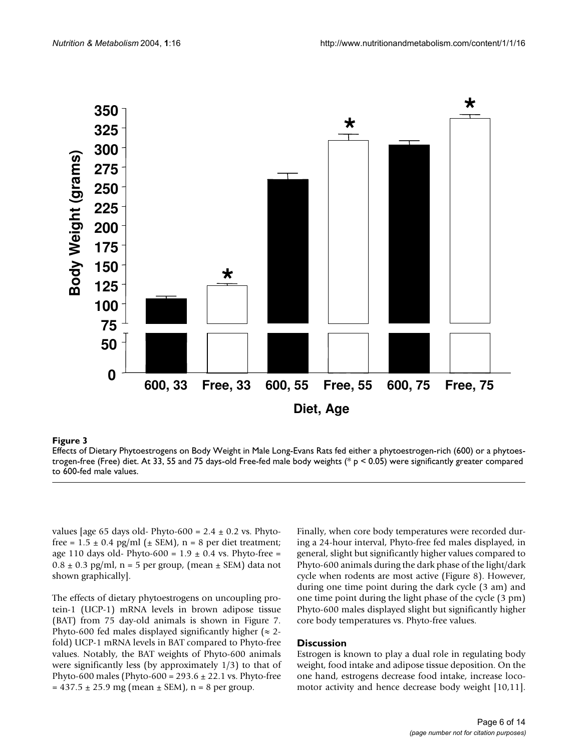<span id="page-5-0"></span>

# Effects of Dietary Phytoestrogens on Body trogen-free (Free) diet **Figure 3** Weight in Male Long-Evans Rats fed either a phytoestrogen-rich (600) or a phytoes-

Effects of Dietary Phytoestrogens on Body Weight in Male Long-Evans Rats fed either a phytoestrogen-rich (600) or a phytoestrogen-free (Free) diet. At 33, 55 and 75 days-old Free-fed male body weights (\* p < 0.05) were significantly greater compared to 600-fed male values.

values [age 65 days old- Phyto-600 =  $2.4 \pm 0.2$  vs. Phytofree =  $1.5 \pm 0.4$  pg/ml ( $\pm$  SEM), n = 8 per diet treatment; age 110 days old- Phyto-600 =  $1.9 \pm 0.4$  vs. Phyto-free =  $0.8 \pm 0.3$  pg/ml, n = 5 per group, (mean  $\pm$  SEM) data not shown graphically].

The effects of dietary phytoestrogens on uncoupling protein-1 (UCP-1) mRNA levels in brown adipose tissue (BAT) from 75 day-old animals is shown in Figure 7. Phyto-600 fed males displayed significantly higher ( $\approx$  2fold) UCP-1 mRNA levels in BAT compared to Phyto-free values. Notably, the BAT weights of Phyto-600 animals were significantly less (by approximately 1/3) to that of Phyto-600 males (Phyto-600 =  $293.6 \pm 22.1$  vs. Phyto-free  $= 437.5 \pm 25.9$  mg (mean  $\pm$  SEM), n = 8 per group.

Finally, when core body temperatures were recorded during a 24-hour interval, Phyto-free fed males displayed, in general, slight but significantly higher values compared to Phyto-600 animals during the dark phase of the light/dark cycle when rodents are most active (Figure [8](#page-10-0)). However, during one time point during the dark cycle (3 am) and one time point during the light phase of the cycle (3 pm) Phyto-600 males displayed slight but significantly higher core body temperatures vs. Phyto-free values.

# **Discussion**

Estrogen is known to play a dual role in regulating body weight, food intake and adipose tissue deposition. On the one hand, estrogens decrease food intake, increase locomotor activity and hence decrease body weight [10,11].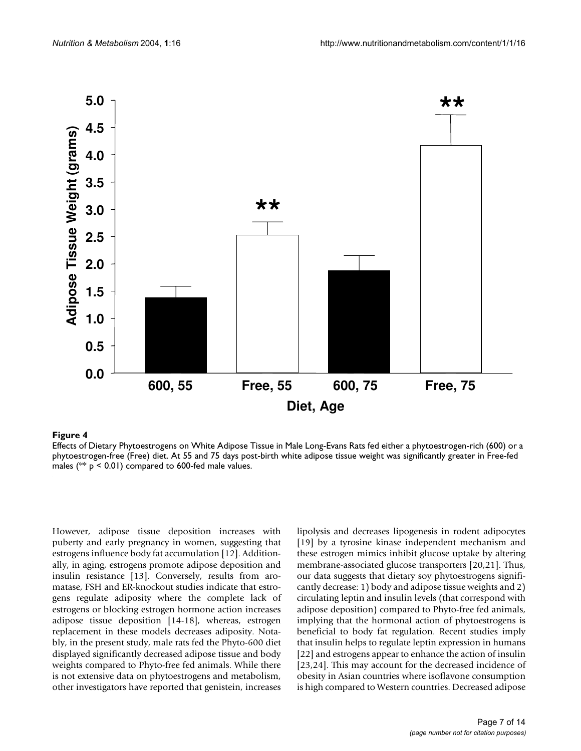

#### phytoestrogen-free (Free) diet **Figure 4** Effects of Dietary Phytoestrogens on White Adipose Tissue in Male Long-Evans Rats fed either a phytoestrogen-rich (600) or a

Effects of Dietary Phytoestrogens on White Adipose Tissue in Male Long-Evans Rats fed either a phytoestrogen-rich (600) or a phytoestrogen-free (Free) diet. At 55 and 75 days post-birth white adipose tissue weight was significantly greater in Free-fed males ( $**$  p < 0.01) compared to 600-fed male values.

However, adipose tissue deposition increases with puberty and early pregnancy in women, suggesting that estrogens influence body fat accumulation [12]. Additionally, in aging, estrogens promote adipose deposition and insulin resistance [13]. Conversely, results from aromatase, FSH and ER-knockout studies indicate that estrogens regulate adiposity where the complete lack of estrogens or blocking estrogen hormone action increases adipose tissue deposition [14-18], whereas, estrogen replacement in these models decreases adiposity. Notably, in the present study, male rats fed the Phyto-600 diet displayed significantly decreased adipose tissue and body weights compared to Phyto-free fed animals. While there is not extensive data on phytoestrogens and metabolism, other investigators have reported that genistein, increases lipolysis and decreases lipogenesis in rodent adipocytes [19] by a tyrosine kinase independent mechanism and these estrogen mimics inhibit glucose uptake by altering membrane-associated glucose transporters [20,21]. Thus, our data suggests that dietary soy phytoestrogens significantly decrease: 1) body and adipose tissue weights and 2) circulating leptin and insulin levels (that correspond with adipose deposition) compared to Phyto-free fed animals, implying that the hormonal action of phytoestrogens is beneficial to body fat regulation. Recent studies imply that insulin helps to regulate leptin expression in humans [22] and estrogens appear to enhance the action of insulin [23,24]. This may account for the decreased incidence of obesity in Asian countries where isoflavone consumption is high compared to Western countries. Decreased adipose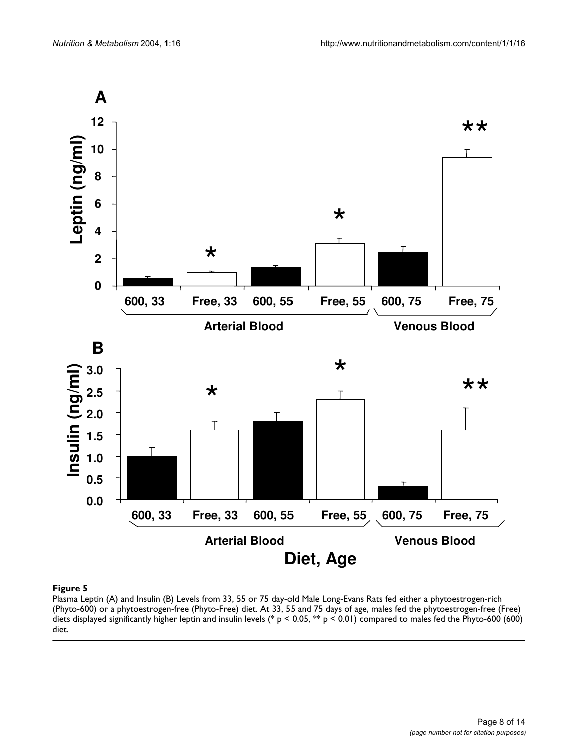<span id="page-7-0"></span>

## Plasma Leptin (A) and Insulin (B) Levels from 33, 55 or 75 (Phyto-600) or a phytoestrogen-free (Phyto-Free) diet **Figure 5** day-old Male Long-Evans Rats fed either a phytoestrogen-rich

Plasma Leptin (A) and Insulin (B) Levels from 33, 55 or 75 day-old Male Long-Evans Rats fed either a phytoestrogen-rich (Phyto-600) or a phytoestrogen-free (Phyto-Free) diet. At 33, 55 and 75 days of age, males fed the phytoestrogen-free (Free) diets displayed significantly higher leptin and insulin levels (\* p < 0.05, \*\* p < 0.01) compared to males fed the Phyto-600 (600) diet.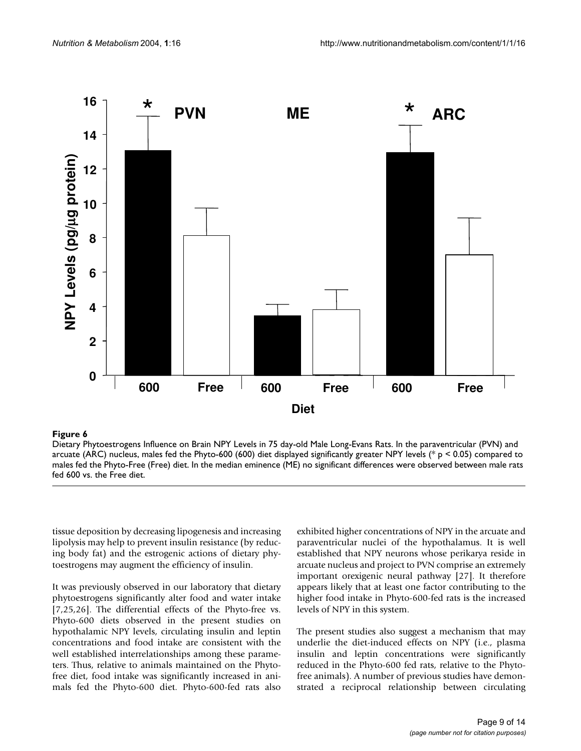<span id="page-8-0"></span>

#### Dietary Phytoestrogens Influence on Brain NPY **Figure 6** Levels in 75 day-old Male Long-Evans Rats

Dietary Phytoestrogens Influence on Brain NPY Levels in 75 day-old Male Long-Evans Rats. In the paraventricular (PVN) and arcuate (ARC) nucleus, males fed the Phyto-600 (600) diet displayed significantly greater NPY levels (\* p < 0.05) compared to males fed the Phyto-Free (Free) diet. In the median eminence (ME) no significant differences were observed between male rats fed 600 vs. the Free diet.

tissue deposition by decreasing lipogenesis and increasing lipolysis may help to prevent insulin resistance (by reducing body fat) and the estrogenic actions of dietary phytoestrogens may augment the efficiency of insulin.

It was previously observed in our laboratory that dietary phytoestrogens significantly alter food and water intake [7,25,26]. The differential effects of the Phyto-free vs. Phyto-600 diets observed in the present studies on hypothalamic NPY levels, circulating insulin and leptin concentrations and food intake are consistent with the well established interrelationships among these parameters. Thus, relative to animals maintained on the Phytofree diet, food intake was significantly increased in animals fed the Phyto-600 diet. Phyto-600-fed rats also

exhibited higher concentrations of NPY in the arcuate and paraventricular nuclei of the hypothalamus. It is well established that NPY neurons whose perikarya reside in arcuate nucleus and project to PVN comprise an extremely important orexigenic neural pathway [27]. It therefore appears likely that at least one factor contributing to the higher food intake in Phyto-600-fed rats is the increased levels of NPY in this system.

The present studies also suggest a mechanism that may underlie the diet-induced effects on NPY (i.e., plasma insulin and leptin concentrations were significantly reduced in the Phyto-600 fed rats, relative to the Phytofree animals). A number of previous studies have demonstrated a reciprocal relationship between circulating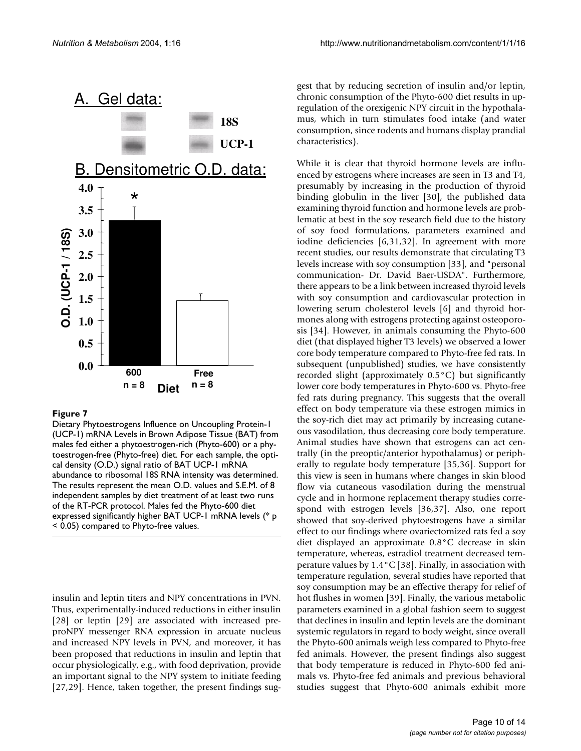

#### **Figure 7**

Dietary Phytoestrogens Influence on Uncoupling Protein-1 (UCP-1) mRNA Levels in Brown Adipose Tissue (BAT) from males fed either a phytoestrogen-rich (Phyto-600) or a phytoestrogen-free (Phyto-free) diet. For each sample, the optical density (O.D.) signal ratio of BAT UCP-1 mRNA abundance to ribosomal 18S RNA intensity was determined. The results represent the mean O.D. values and S.E.M. of 8 independent samples by diet treatment of at least two runs of the RT-PCR protocol. Males fed the Phyto-600 diet expressed significantly higher BAT UCP-1 mRNA levels (\* p

insulin and leptin titers and NPY concentrations in PVN. Thus, experimentally-induced reductions in either insulin [28] or leptin [29] are associated with increased preproNPY messenger RNA expression in arcuate nucleus and increased NPY levels in PVN, and moreover, it has been proposed that reductions in insulin and leptin that occur physiologically, e.g., with food deprivation, provide an important signal to the NPY system to initiate feeding [27,29]. Hence, taken together, the present findings suggest that by reducing secretion of insulin and/or leptin, chronic consumption of the Phyto-600 diet results in upregulation of the orexigenic NPY circuit in the hypothalamus, which in turn stimulates food intake (and water consumption, since rodents and humans display prandial characteristics).

While it is clear that thyroid hormone levels are influenced by estrogens where increases are seen in T3 and T4, presumably by increasing in the production of thyroid binding globulin in the liver [30], the published data examining thyroid function and hormone levels are problematic at best in the soy research field due to the history of soy food formulations, parameters examined and iodine deficiencies [6,31,32]. In agreement with more recent studies, our results demonstrate that circulating T3 levels increase with soy consumption [33], and "personal communication- Dr. David Baer-USDA". Furthermore, there appears to be a link between increased thyroid levels with soy consumption and cardiovascular protection in lowering serum cholesterol levels [6] and thyroid hormones along with estrogens protecting against osteoporosis [34]. However, in animals consuming the Phyto-600 diet (that displayed higher T3 levels) we observed a lower core body temperature compared to Phyto-free fed rats. In subsequent (unpublished) studies, we have consistently recorded slight (approximately 0.5°C) but significantly lower core body temperatures in Phyto-600 vs. Phyto-free fed rats during pregnancy. This suggests that the overall effect on body temperature via these estrogen mimics in the soy-rich diet may act primarily by increasing cutaneous vasodilation, thus decreasing core body temperature. Animal studies have shown that estrogens can act centrally (in the preoptic/anterior hypothalamus) or peripherally to regulate body temperature [35,36]. Support for this view is seen in humans where changes in skin blood flow via cutaneous vasodilation during the menstrual cycle and in hormone replacement therapy studies correspond with estrogen levels [36,37]. Also, one report showed that soy-derived phytoestrogens have a similar effect to our findings where ovariectomized rats fed a soy diet displayed an approximate 0.8°C decrease in skin temperature, whereas, estradiol treatment decreased temperature values by 1.4°C [38]. Finally, in association with temperature regulation, several studies have reported that soy consumption may be an effective therapy for relief of hot flushes in women [39]. Finally, the various metabolic parameters examined in a global fashion seem to suggest that declines in insulin and leptin levels are the dominant systemic regulators in regard to body weight, since overall the Phyto-600 animals weigh less compared to Phyto-free fed animals. However, the present findings also suggest that body temperature is reduced in Phyto-600 fed animals vs. Phyto-free fed animals and previous behavioral studies suggest that Phyto-600 animals exhibit more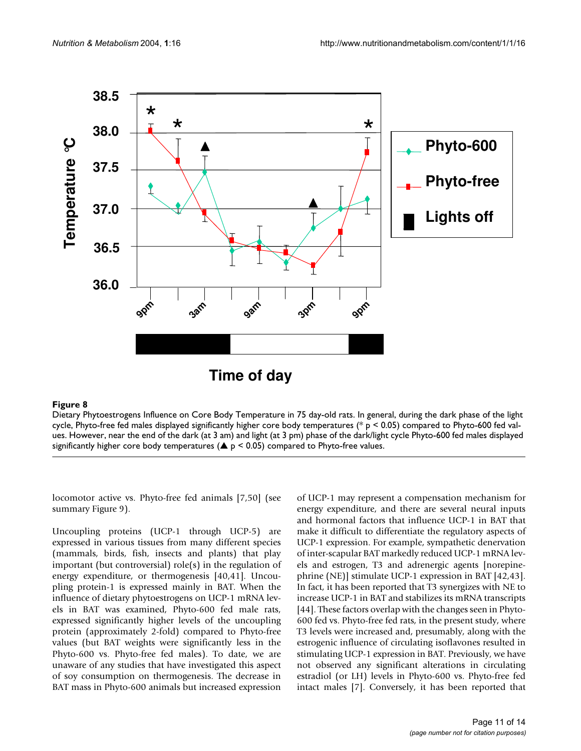<span id="page-10-0"></span>

#### Dietary Phytoestrogens Influence on Core **Figure 8** Body Temperature in 75 day-old rats

Dietary Phytoestrogens Influence on Core Body Temperature in 75 day-old rats. In general, during the dark phase of the light cycle, Phyto-free fed males displayed significantly higher core body temperatures (\* p < 0.05) compared to Phyto-600 fed values. However, near the end of the dark (at 3 am) and light (at 3 pm) phase of the dark/light cycle Phyto-600 fed males displayed significantly higher core body temperatures ( $\triangle$  p < 0.05) compared to Phyto-free values.

locomotor active vs. Phyto-free fed animals [7,50] (see summary Figure 9).

Uncoupling proteins (UCP-1 through UCP-5) are expressed in various tissues from many different species (mammals, birds, fish, insects and plants) that play important (but controversial) role(s) in the regulation of energy expenditure, or thermogenesis [40,41]. Uncoupling protein-1 is expressed mainly in BAT. When the influence of dietary phytoestrogens on UCP-1 mRNA levels in BAT was examined, Phyto-600 fed male rats, expressed significantly higher levels of the uncoupling protein (approximately 2-fold) compared to Phyto-free values (but BAT weights were significantly less in the Phyto-600 vs. Phyto-free fed males). To date, we are unaware of any studies that have investigated this aspect of soy consumption on thermogenesis. The decrease in BAT mass in Phyto-600 animals but increased expression of UCP-1 may represent a compensation mechanism for energy expenditure, and there are several neural inputs and hormonal factors that influence UCP-1 in BAT that make it difficult to differentiate the regulatory aspects of UCP-1 expression. For example, sympathetic denervation of inter-scapular BAT markedly reduced UCP-1 mRNA levels and estrogen, T3 and adrenergic agents [norepinephrine (NE)] stimulate UCP-1 expression in BAT [42,43]. In fact, it has been reported that T3 synergizes with NE to increase UCP-1 in BAT and stabilizes its mRNA transcripts [44]. These factors overlap with the changes seen in Phyto-600 fed vs. Phyto-free fed rats, in the present study, where T3 levels were increased and, presumably, along with the estrogenic influence of circulating isoflavones resulted in stimulating UCP-1 expression in BAT. Previously, we have not observed any significant alterations in circulating estradiol (or LH) levels in Phyto-600 vs. Phyto-free fed intact males [7]. Conversely, it has been reported that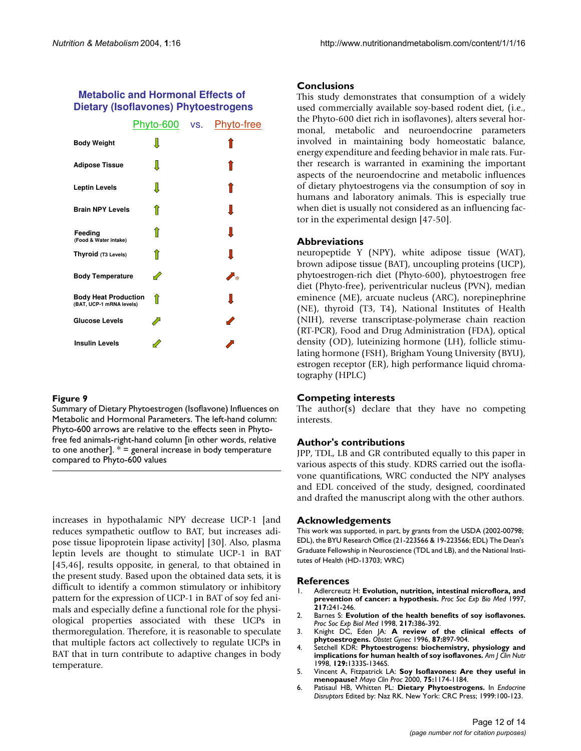# **Metabolic and Hormonal Effects of Dietary (Isoflavones) Phytoestrogens**

|                                                         | <u>Phyto-600</u> vs. | Phyto-free               |
|---------------------------------------------------------|----------------------|--------------------------|
| <b>Body Weight</b>                                      | Л                    |                          |
| <b>Adipose Tissue</b>                                   | Л                    |                          |
| <b>Leptin Levels</b>                                    |                      |                          |
| <b>Brain NPY Levels</b>                                 | îì                   |                          |
| Feeding<br>(Food & Water intake)                        |                      | ι                        |
| Thyroid (T <sub>3</sub> Levels)                         |                      | Ι                        |
| <b>Body Temperature</b>                                 | D                    | $\blacktriangledown_{*}$ |
| <b>Body Heat Production</b><br>(BAT, UCP-1 mRNA levels) | îî                   | Ι                        |
| <b>Glucose Levels</b>                                   |                      | $\blacktriangledown$     |
| <b>Insulin Levels</b>                                   |                      |                          |

#### **Figure 9**

Summary of Dietary Phytoestrogen (Isoflavone) Influences on Metabolic and Hormonal Parameters. The left-hand column: Phyto-600 arrows are relative to the effects seen in Phytofree fed animals-right-hand column [in other words, relative to one another].  $* =$  general increase in body temperature compared to Phyto-600 values

increases in hypothalamic NPY decrease UCP-1 [and reduces sympathetic outflow to BAT, but increases adipose tissue lipoprotein lipase activity] [30]. Also, plasma leptin levels are thought to stimulate UCP-1 in BAT [45,46], results opposite, in general, to that obtained in the present study. Based upon the obtained data sets, it is difficult to identify a common stimulatory or inhibitory pattern for the expression of UCP-1 in BAT of soy fed animals and especially define a functional role for the physiological properties associated with these UCPs in thermoregulation. Therefore, it is reasonable to speculate that multiple factors act collectively to regulate UCPs in BAT that in turn contribute to adaptive changes in body temperature.

#### **Conclusions**

This study demonstrates that consumption of a widely used commercially available soy-based rodent diet, (i.e., the Phyto-600 diet rich in isoflavones), alters several hormonal, metabolic and neuroendocrine parameters involved in maintaining body homeostatic balance, energy expenditure and feeding behavior in male rats. Further research is warranted in examining the important aspects of the neuroendocrine and metabolic influences of dietary phytoestrogens via the consumption of soy in humans and laboratory animals. This is especially true when diet is usually not considered as an influencing factor in the experimental design [47-50].

#### **Abbreviations**

neuropeptide Y (NPY), white adipose tissue (WAT), brown adipose tissue (BAT), uncoupling proteins (UCP), phytoestrogen-rich diet (Phyto-600), phytoestrogen free diet (Phyto-free), periventricular nucleus (PVN), median eminence (ME), arcuate nucleus (ARC), norepinephrine (NE), thyroid (T3, T4), National Institutes of Health (NIH), reverse transcriptase-polymerase chain reaction (RT-PCR), Food and Drug Administration (FDA), optical density (OD), luteinizing hormone (LH), follicle stimulating hormone (FSH), Brigham Young University (BYU), estrogen receptor (ER), high performance liquid chromatography (HPLC)

#### **Competing interests**

The author(s) declare that they have no competing interests.

#### **Author's contributions**

JPP, TDL, LB and GR contributed equally to this paper in various aspects of this study. KDRS carried out the isoflavone quantifications, WRC conducted the NPY analyses and EDL conceived of the study, designed, coordinated and drafted the manuscript along with the other authors.

#### **Acknowledgements**

This work was supported, in part, by grants from the USDA (2002-00798; EDL), the BYU Research Office (21-223566 & 19-223566; EDL) The Dean's Graduate Fellowship in Neuroscience (TDL and LB), and the National Institutes of Health (HD-13703; WRC)

#### **References**

- 1. Adlercreutz H: **Evolution, nutrition, intestinal microflora, and prevention of cancer: a hypothesis.** *Proc Soc Exp Bio Med* 1997, **217:**241-246.
- 2. Barnes S: **[Evolution of the health benefits of soy isoflavones.](http://www.ncbi.nlm.nih.gov/entrez/query.fcgi?cmd=Retrieve&db=PubMed&dopt=Abstract&list_uids=9492352)** *Proc Soc Exp Biol Med* 1998, **217:**386-392.
- 3. Knight DC, Eden JA: **[A review of the clinical effects of](http://www.ncbi.nlm.nih.gov/entrez/query.fcgi?cmd=Retrieve&db=PubMed&dopt=Abstract&list_uids=8677131) [phytoestrogens.](http://www.ncbi.nlm.nih.gov/entrez/query.fcgi?cmd=Retrieve&db=PubMed&dopt=Abstract&list_uids=8677131)** *Obstet Gynec* 1996, **87:**897-904.
- 4. Setchell KDR: **Phytoestrogens: biochemistry, physiology and implications for human health of soy isoflavones.** *Am J Clin Nutr* 1998, **129:**1333S-1346S.
- 5. Vincent A, Fitzpatrick LA: **[Soy Isoflavones: Are they useful in](http://www.ncbi.nlm.nih.gov/entrez/query.fcgi?cmd=Retrieve&db=PubMed&dopt=Abstract&list_uids=11075748) [menopause?](http://www.ncbi.nlm.nih.gov/entrez/query.fcgi?cmd=Retrieve&db=PubMed&dopt=Abstract&list_uids=11075748)** *Mayo Clin Proc* 2000, **75:**1174-1184.
- 6. Patisaul HB, Whitten PL: **Dietary Phytoestrogens.** In *Endocrine Disruptors* Edited by: Naz RK. New York: CRC Press; 1999:100-123.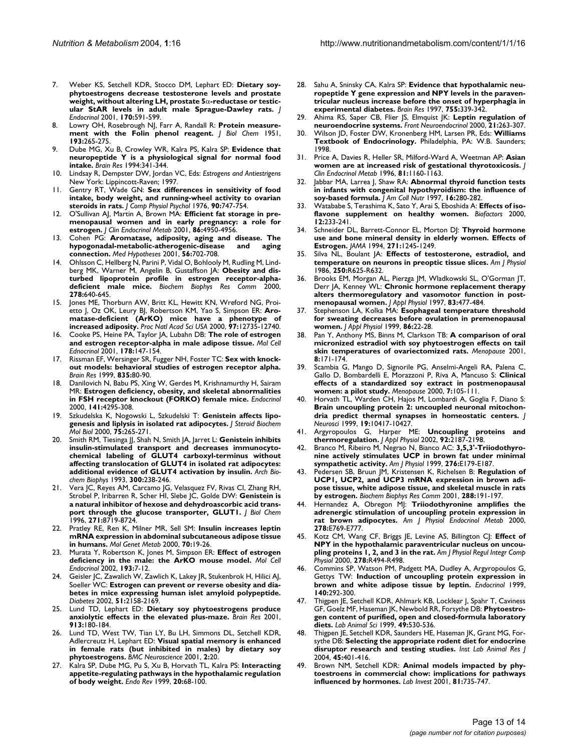- 7. Weber KS, Setchell KDR, Stocco DM, Lephart ED: **Dietary soyphytoestrogens decrease testosterone levels and prostate weight, without altering LH, prostate 5**α**[-reductase or testic](http://www.ncbi.nlm.nih.gov/entrez/query.fcgi?cmd=Retrieve&db=PubMed&dopt=Abstract&list_uids=11524239)[ular StAR levels in adult male Sprague-Dawley rats.](http://www.ncbi.nlm.nih.gov/entrez/query.fcgi?cmd=Retrieve&db=PubMed&dopt=Abstract&list_uids=11524239)** *J Endocrinol* 2001, **170:**591-599.
- 8. Lowry OH, Rosebrough NJ, Farr A, Randall R: **[Protein measure](http://www.ncbi.nlm.nih.gov/entrez/query.fcgi?cmd=Retrieve&db=PubMed&dopt=Abstract&list_uids=14907713)[ment with the Folin phenol reagent.](http://www.ncbi.nlm.nih.gov/entrez/query.fcgi?cmd=Retrieve&db=PubMed&dopt=Abstract&list_uids=14907713)** *J Biol Chem* 1951, **193:**265-275.
- 9. Dube MG, Xu B, Crowley WR, Kalra PS, Kalra SP: **[Evidence that](http://www.ncbi.nlm.nih.gov/entrez/query.fcgi?cmd=Retrieve&db=PubMed&dopt=Abstract&list_uids=8069687) [neuropeptide Y is a physiological signal for normal food](http://www.ncbi.nlm.nih.gov/entrez/query.fcgi?cmd=Retrieve&db=PubMed&dopt=Abstract&list_uids=8069687) [intake.](http://www.ncbi.nlm.nih.gov/entrez/query.fcgi?cmd=Retrieve&db=PubMed&dopt=Abstract&list_uids=8069687)** *Brain Res* 1994:341-344.
- 10. Lindsay R, Dempster DW, Jordan VC, Eds: *Estrogens and Antiestrigens* New York: Lippincott-Raven; 1997.
- 11. Gentry RT, Wade GN: **[Sex differences in sensitivity of food](http://www.ncbi.nlm.nih.gov/entrez/query.fcgi?cmd=Retrieve&db=PubMed&dopt=Abstract&list_uids=965523) [intake, body weight, and running-wheel activity to ovarian](http://www.ncbi.nlm.nih.gov/entrez/query.fcgi?cmd=Retrieve&db=PubMed&dopt=Abstract&list_uids=965523) [steroids in rats.](http://www.ncbi.nlm.nih.gov/entrez/query.fcgi?cmd=Retrieve&db=PubMed&dopt=Abstract&list_uids=965523)** *J Comp Physiol Psychol* 1976, **90:**747-754.
- 12. O'Sullivan AJ, Martin A, Brown MA: **Efficient fat storage in premenopausal women and in early pregnancy: a role for estrogen.** *J Clin Endocrinol Metab* 2001, **86:**4950-4956.
- 13. Cohen PG: **[Aromatase, adiposity, aging and disease. The](http://www.ncbi.nlm.nih.gov/entrez/query.fcgi?cmd=Retrieve&db=PubMed&dopt=Abstract&list_uids=11399122) [hypogonadal-metabolic-atherogenic-disease and aging](http://www.ncbi.nlm.nih.gov/entrez/query.fcgi?cmd=Retrieve&db=PubMed&dopt=Abstract&list_uids=11399122) [connection.](http://www.ncbi.nlm.nih.gov/entrez/query.fcgi?cmd=Retrieve&db=PubMed&dopt=Abstract&list_uids=11399122)** *Med Hypotheses* 2001, **56:**702-708.
- 14. Ohlsson C, Hellberg N, Parini P, Vidal O, Bohlooly M, Rudling M, Lindberg MK, Warner M, Angelin B, Gustaffson JA: **[Obesity and dis](http://www.ncbi.nlm.nih.gov/entrez/query.fcgi?cmd=Retrieve&db=PubMed&dopt=Abstract&list_uids=11095962)[turbed lipoprotein profile in estrogen receptor-alpha](http://www.ncbi.nlm.nih.gov/entrez/query.fcgi?cmd=Retrieve&db=PubMed&dopt=Abstract&list_uids=11095962)[deficient male mice.](http://www.ncbi.nlm.nih.gov/entrez/query.fcgi?cmd=Retrieve&db=PubMed&dopt=Abstract&list_uids=11095962)** *Biochem Biophys Res Comm* 2000, **278:**640-645.
- 15. Jones ME, Thorburn AW, Britt KL, Hewitt KN, Wreford NG, Proietto J, Oz OK, Leury BJ, Robertson KM, Yao S, Simpson ER: **[Aro](http://www.ncbi.nlm.nih.gov/entrez/query.fcgi?cmd=Retrieve&db=PubMed&dopt=Abstract&list_uids=11070087)[matase-deficient \(ArKO\) mice have a phenotype of](http://www.ncbi.nlm.nih.gov/entrez/query.fcgi?cmd=Retrieve&db=PubMed&dopt=Abstract&list_uids=11070087) [increased adiposity.](http://www.ncbi.nlm.nih.gov/entrez/query.fcgi?cmd=Retrieve&db=PubMed&dopt=Abstract&list_uids=11070087)** *Proc Natl Acad Sci USA* 2000, **97:**12735-12740.
- 16. Cooke PS, Heine PA, Taylor JA, Lubahn DB: **The role of estrogen and estrogen receptor-alpha in male adipose tissue.** *Mol Cell Ednocrinol* 2001, **178:**147-154.
- 17. Rissman EF, Wersinger SR, Fugger NH, Foster TC: **[Sex with knock](http://www.ncbi.nlm.nih.gov/entrez/query.fcgi?cmd=Retrieve&db=PubMed&dopt=Abstract&list_uids=10448199)[out models: behavioral studies of estrogen receptor alpha.](http://www.ncbi.nlm.nih.gov/entrez/query.fcgi?cmd=Retrieve&db=PubMed&dopt=Abstract&list_uids=10448199)** *Brain Res* 1999, **835:**80-90.
- 18. Danilovich N, Babu PS, Xing W, Gerdes M, Krishnamurthy H, Sairam MR: **Estrogen deficiency, obesity, and skeletal abnormalities in FSH receptor knockout (FORKO) female mice.** *Endocrinol* 2000, **141:**4295-308.
- 19. Szkudelska K, Nogowski L, Szkudelski T: **[Genistein affects lipo](http://www.ncbi.nlm.nih.gov/entrez/query.fcgi?cmd=Retrieve&db=PubMed&dopt=Abstract&list_uids=11282281)[genesis and liplysis in isolated rat adipocytes.](http://www.ncbi.nlm.nih.gov/entrez/query.fcgi?cmd=Retrieve&db=PubMed&dopt=Abstract&list_uids=11282281)** *J Steroid Biochem Mol Biol* 2000, **75:**265-271.
- 20. Smith RM, Tiesinga JJ, Shah N, Smith JA, Jarret L: **[Genistein inhibits](http://www.ncbi.nlm.nih.gov/entrez/query.fcgi?cmd=Retrieve&db=PubMed&dopt=Abstract&list_uids=8424658) insulin-stimulated transport and decreases immunocyto[chemical labeling of GLUT4 carboxyl-terminus without](http://www.ncbi.nlm.nih.gov/entrez/query.fcgi?cmd=Retrieve&db=PubMed&dopt=Abstract&list_uids=8424658) affecting translocation of GLUT4 in isolated rat adipocytes: [additional evidence of GLUT4 activation by insulin.](http://www.ncbi.nlm.nih.gov/entrez/query.fcgi?cmd=Retrieve&db=PubMed&dopt=Abstract&list_uids=8424658)** *Arch Biochem Biophys* 1993, **300:**238-246.
- 21. Vera JC, Reyes AM, Carcamo JG, Velasquez FV, Rivas CI, Zhang RH, Strobel P, Iribarren R, Scher HI, Slebe JC, Golde DW: **[Genistein is](http://www.ncbi.nlm.nih.gov/entrez/query.fcgi?cmd=Retrieve&db=PubMed&dopt=Abstract&list_uids=8621505) [a natural inhibitor of hexose and dehydroascorbic acid trans](http://www.ncbi.nlm.nih.gov/entrez/query.fcgi?cmd=Retrieve&db=PubMed&dopt=Abstract&list_uids=8621505)[port through the glucose transporter, GLUT1.](http://www.ncbi.nlm.nih.gov/entrez/query.fcgi?cmd=Retrieve&db=PubMed&dopt=Abstract&list_uids=8621505)** *J Biol Chem* 1996, **271:**8719-8724.
- 22. Pratley RE, Ren K, Milner MR, Sell SM: **[Insulin increases leptin](http://www.ncbi.nlm.nih.gov/entrez/query.fcgi?cmd=Retrieve&db=PubMed&dopt=Abstract&list_uids=10833328) [mRNA expression in abdominal subcutaneous adipose tissue](http://www.ncbi.nlm.nih.gov/entrez/query.fcgi?cmd=Retrieve&db=PubMed&dopt=Abstract&list_uids=10833328) [in humans.](http://www.ncbi.nlm.nih.gov/entrez/query.fcgi?cmd=Retrieve&db=PubMed&dopt=Abstract&list_uids=10833328)** *Mol Genet Metab* 2000, **70:**19-26.
- 23. Murata Y, Robertson K, Jones M, Simpson ER: **[Effect of estrogen](http://www.ncbi.nlm.nih.gov/entrez/query.fcgi?cmd=Retrieve&db=PubMed&dopt=Abstract&list_uids=12160996) [deficiency in the male: the ArKO mouse model.](http://www.ncbi.nlm.nih.gov/entrez/query.fcgi?cmd=Retrieve&db=PubMed&dopt=Abstract&list_uids=12160996)** *Mol Cell Endocrinol* 2002, **193:**7-12.
- 24. Geisler JC, Zawalich W, Zawlich K, Lakey JR, Stukenbrok H, Hilici AJ, Soeller WC: **[Estrogen can prevent or reverse obesity and dia](http://www.ncbi.nlm.nih.gov/entrez/query.fcgi?cmd=Retrieve&db=PubMed&dopt=Abstract&list_uids=12086946)[betes in mice expressing human islet amyloid polypeptide.](http://www.ncbi.nlm.nih.gov/entrez/query.fcgi?cmd=Retrieve&db=PubMed&dopt=Abstract&list_uids=12086946)** *Diabetes* 2002, **51:**2158-2169.
- 25. Lund TD, Lephart ED: **[Dietary soy phytoestrogens produce](http://www.ncbi.nlm.nih.gov/entrez/query.fcgi?cmd=Retrieve&db=PubMed&dopt=Abstract&list_uids=11549384) [anxiolytic effects in the elevated plus-maze.](http://www.ncbi.nlm.nih.gov/entrez/query.fcgi?cmd=Retrieve&db=PubMed&dopt=Abstract&list_uids=11549384)** *Brain Res* 2001, **913:**180-184.
- 26. Lund TD, West TW, Tian LY, Bu LH, Simmons DL, Setchell KDR, Adlercreutz H, Lephart ED: **[Visual spatial memory is enhanced](http://www.ncbi.nlm.nih.gov/entrez/query.fcgi?cmd=Retrieve&db=PubMed&dopt=Abstract&list_uids=11801187) [in female rats \(but inhibited in males\) by dietary soy](http://www.ncbi.nlm.nih.gov/entrez/query.fcgi?cmd=Retrieve&db=PubMed&dopt=Abstract&list_uids=11801187) [phytoestrogens.](http://www.ncbi.nlm.nih.gov/entrez/query.fcgi?cmd=Retrieve&db=PubMed&dopt=Abstract&list_uids=11801187)** *BMC Neuroscience* 2001, **2:**20.
- 27. Kalra SP, Dube MG, Pu S, Xu B, Horvath TL, Kalra PS: **Interacting appetite-regulating pathways in the hypothalamic regulation of body weight.** *Endo Rev* 1999, **20:**68-100.
- 28. Sahu A, Sninsky CA, Kalra SP: **[Evidence that hypothalamic neu](http://www.ncbi.nlm.nih.gov/entrez/query.fcgi?cmd=Retrieve&db=PubMed&dopt=Abstract&list_uids=9175903)ropeptide Y gene expression and NPY levels in the paraven[tricular nucleus increase before the onset of hyperphagia in](http://www.ncbi.nlm.nih.gov/entrez/query.fcgi?cmd=Retrieve&db=PubMed&dopt=Abstract&list_uids=9175903) [experimental diabetes.](http://www.ncbi.nlm.nih.gov/entrez/query.fcgi?cmd=Retrieve&db=PubMed&dopt=Abstract&list_uids=9175903)** *Brain Res* 1997, **755:**339-342.
- 29. Ahima RS, Saper CB, Flier JS, Elmquist JK: **[Leptin regulation of](http://www.ncbi.nlm.nih.gov/entrez/query.fcgi?cmd=Retrieve&db=PubMed&dopt=Abstract&list_uids=10882542) [neuroendocrine systems.](http://www.ncbi.nlm.nih.gov/entrez/query.fcgi?cmd=Retrieve&db=PubMed&dopt=Abstract&list_uids=10882542)** *Front Neuroendocrinol* 2000, **21:**263-307.
- 30. Wilson JD, Foster DW, Kronenberg HM, Larsen PR, Eds: **Williams Textbook of Endocrinology.** Philadelphia, PA: W.B. Saunders; 1998.
- 31. Price A, Davies R, Heller SR, Milford-Ward A, Weetman AP: **[Asian](http://www.ncbi.nlm.nih.gov/entrez/query.fcgi?cmd=Retrieve&db=PubMed&dopt=Abstract&list_uids=8772593) [women are at increased risk of gestational thyrotoxicosis.](http://www.ncbi.nlm.nih.gov/entrez/query.fcgi?cmd=Retrieve&db=PubMed&dopt=Abstract&list_uids=8772593)** *J Clin Endocrinol Metab* 1996, **81:**1160-1163.
- 32. Jabbar MA, Larrea J, Shaw RA: **[Abnormal thyroid function tests](http://www.ncbi.nlm.nih.gov/entrez/query.fcgi?cmd=Retrieve&db=PubMed&dopt=Abstract&list_uids=9176836) [in infants with congenital hypothyroidism: the influence of](http://www.ncbi.nlm.nih.gov/entrez/query.fcgi?cmd=Retrieve&db=PubMed&dopt=Abstract&list_uids=9176836) [soy-based formula.](http://www.ncbi.nlm.nih.gov/entrez/query.fcgi?cmd=Retrieve&db=PubMed&dopt=Abstract&list_uids=9176836)** *J Am Coll Nutr* 1997, **16:**280-282.
- 33. Watababe S, Terashima K, Sato Y, Arai S, Eboshida A: **[Effects of iso](http://www.ncbi.nlm.nih.gov/entrez/query.fcgi?cmd=Retrieve&db=PubMed&dopt=Abstract&list_uids=11216491)[flavone supplement on healthy women.](http://www.ncbi.nlm.nih.gov/entrez/query.fcgi?cmd=Retrieve&db=PubMed&dopt=Abstract&list_uids=11216491)** *Biofactors* 2000, **12:**233-241.
- 34. Schneider DL, Barrett-Connor EL, Morton DJ: **[Thyroid hormone](http://www.ncbi.nlm.nih.gov/entrez/query.fcgi?cmd=Retrieve&db=PubMed&dopt=Abstract&list_uids=7848399) [use and bone mineral density in elderly women. Effects of](http://www.ncbi.nlm.nih.gov/entrez/query.fcgi?cmd=Retrieve&db=PubMed&dopt=Abstract&list_uids=7848399) [Estrogen.](http://www.ncbi.nlm.nih.gov/entrez/query.fcgi?cmd=Retrieve&db=PubMed&dopt=Abstract&list_uids=7848399)** *JAMA* 1994, **271:**1245-1249.
- 35. Silva NL, Boulant JA: **[Effects of testosterone, estradiol, and](http://www.ncbi.nlm.nih.gov/entrez/query.fcgi?cmd=Retrieve&db=PubMed&dopt=Abstract&list_uids=3963231) [temperature on neurons in preoptic tissue slices.](http://www.ncbi.nlm.nih.gov/entrez/query.fcgi?cmd=Retrieve&db=PubMed&dopt=Abstract&list_uids=3963231)** *Am J Physiol* 1986, **250:**R625-R632.
- 36. Brooks EM, Morgan AL, Pierzga JM, Wladkowski SL, O'Gorman JT, Derr JA, Kenney WL: **[Chronic hormone replacement therapy](http://www.ncbi.nlm.nih.gov/entrez/query.fcgi?cmd=Retrieve&db=PubMed&dopt=Abstract&list_uids=9262443) [alters thermoregulatory and vasomotor function in post](http://www.ncbi.nlm.nih.gov/entrez/query.fcgi?cmd=Retrieve&db=PubMed&dopt=Abstract&list_uids=9262443)[menopausal women.](http://www.ncbi.nlm.nih.gov/entrez/query.fcgi?cmd=Retrieve&db=PubMed&dopt=Abstract&list_uids=9262443)** *J Appl Physiol* 1997, **83:**477-484.
- 37. Stephenson LA, Kolka MA: **[Esophageal temperature threshold](http://www.ncbi.nlm.nih.gov/entrez/query.fcgi?cmd=Retrieve&db=PubMed&dopt=Abstract&list_uids=9887109) [for sweating decreases before ovulation in premenopausal](http://www.ncbi.nlm.nih.gov/entrez/query.fcgi?cmd=Retrieve&db=PubMed&dopt=Abstract&list_uids=9887109) [women.](http://www.ncbi.nlm.nih.gov/entrez/query.fcgi?cmd=Retrieve&db=PubMed&dopt=Abstract&list_uids=9887109)** *J Appl Physiol* 1999, **86:**22-28.
- 38. Pan Y, Anthony MS, Binns M, Clarkson TB: **[A comparison of oral](http://www.ncbi.nlm.nih.gov/entrez/query.fcgi?cmd=Retrieve&db=PubMed&dopt=Abstract&list_uids=11355038) [micronized estradiol with soy phytoestrogen effects on tail](http://www.ncbi.nlm.nih.gov/entrez/query.fcgi?cmd=Retrieve&db=PubMed&dopt=Abstract&list_uids=11355038) [skin temperatures of ovariectomized rats.](http://www.ncbi.nlm.nih.gov/entrez/query.fcgi?cmd=Retrieve&db=PubMed&dopt=Abstract&list_uids=11355038)** *Menopause* 2001, **8:**171-174.
- 39. Scambia G, Mango D, Signorile PG, Anselmi-Angeli RA, Palena C, Gallo D, Bombardelli E, Morazzoni P, Riva A, Mancuso S: **[Clinical](http://www.ncbi.nlm.nih.gov/entrez/query.fcgi?cmd=Retrieve&db=PubMed&dopt=Abstract&list_uids=10746892) [effects of a standardized soy extract in postmenopausal](http://www.ncbi.nlm.nih.gov/entrez/query.fcgi?cmd=Retrieve&db=PubMed&dopt=Abstract&list_uids=10746892) [women: a pilot study.](http://www.ncbi.nlm.nih.gov/entrez/query.fcgi?cmd=Retrieve&db=PubMed&dopt=Abstract&list_uids=10746892)** *Menopause* 2000, **7:**105-111.
- 40. Horvath TL, Warden CH, Hajos M, Lombardi A, Goglia F, Diano S: **[Brain uncoupling protein 2: uncoupled neuronal mitochon](http://www.ncbi.nlm.nih.gov/entrez/query.fcgi?cmd=Retrieve&db=PubMed&dopt=Abstract&list_uids=10575039)[dria predict thermal synapses in homeostatic centers.](http://www.ncbi.nlm.nih.gov/entrez/query.fcgi?cmd=Retrieve&db=PubMed&dopt=Abstract&list_uids=10575039)** *J Neurosci* 1999, **19:**10417-10427.
- 41. Argyropoulos G, Harper ME: **[Uncoupling proteins and](http://www.ncbi.nlm.nih.gov/entrez/query.fcgi?cmd=Retrieve&db=PubMed&dopt=Abstract&list_uids=11960973) [thermoregulation.](http://www.ncbi.nlm.nih.gov/entrez/query.fcgi?cmd=Retrieve&db=PubMed&dopt=Abstract&list_uids=11960973)** *J Appl Physiol* 2002, **92:**2187-2198.
- 42. Branco M, Ribeiro M, Negrao N, Bianco AC: **[3,5,3'-Triiodothyro](http://www.ncbi.nlm.nih.gov/entrez/query.fcgi?cmd=Retrieve&db=PubMed&dopt=Abstract&list_uids=9886965)[nine actively stimulates UCP in brown fat under minimal](http://www.ncbi.nlm.nih.gov/entrez/query.fcgi?cmd=Retrieve&db=PubMed&dopt=Abstract&list_uids=9886965) [sympathetic activity.](http://www.ncbi.nlm.nih.gov/entrez/query.fcgi?cmd=Retrieve&db=PubMed&dopt=Abstract&list_uids=9886965)** *Am J Physiol* 1999, **276:**E179-E187.
- 43. Pedersen SB, Bruun JM, Kristensen K, Richelsen B: **[Regulation of](http://www.ncbi.nlm.nih.gov/entrez/query.fcgi?cmd=Retrieve&db=PubMed&dopt=Abstract&list_uids=11594772) UCP1, UCP2, and UCP3 mRNA expression in brown adi[pose tissue, white adipose tissue, and skeletal muscle in rats](http://www.ncbi.nlm.nih.gov/entrez/query.fcgi?cmd=Retrieve&db=PubMed&dopt=Abstract&list_uids=11594772) [by estrogen.](http://www.ncbi.nlm.nih.gov/entrez/query.fcgi?cmd=Retrieve&db=PubMed&dopt=Abstract&list_uids=11594772)** *Biochem Biophys Res Comm* 2001, **288:**191-197.
- 44. Hernandez A, Obregon MJ: **[Triiodothyronine amplifies the](http://www.ncbi.nlm.nih.gov/entrez/query.fcgi?cmd=Retrieve&db=PubMed&dopt=Abstract&list_uids=10780931) [adrenergic stimulation of uncoupling protein expression in](http://www.ncbi.nlm.nih.gov/entrez/query.fcgi?cmd=Retrieve&db=PubMed&dopt=Abstract&list_uids=10780931) [rat brown adipocytes.](http://www.ncbi.nlm.nih.gov/entrez/query.fcgi?cmd=Retrieve&db=PubMed&dopt=Abstract&list_uids=10780931)** *Am J Physiol Endocrinol Metab* 2000, **278:**E769-E777.
- 45. Kotz CM, Wang CF, Briggs JE, Levine AS, Billington CJ: **[Effect of](http://www.ncbi.nlm.nih.gov/entrez/query.fcgi?cmd=Retrieve&db=PubMed&dopt=Abstract&list_uids=10666152) [NPY in the hypothalamic paraventricular nucleus on uncou](http://www.ncbi.nlm.nih.gov/entrez/query.fcgi?cmd=Retrieve&db=PubMed&dopt=Abstract&list_uids=10666152)[pling proteins 1, 2, and 3 in the rat.](http://www.ncbi.nlm.nih.gov/entrez/query.fcgi?cmd=Retrieve&db=PubMed&dopt=Abstract&list_uids=10666152)** *Am J Physiol Regul Integr Comp Physiol* 2000, **278:**R494-R498.
- 46. Commins SP, Watson PM, Padgett MA, Dudley A, Argyropoulos G, Gettys TW: **Induction of uncoupling protein expression in brown and white adipose tissue by leptin.** *Endocrinol* 1999, **140:**292-300.
- 47. Thigpen JE, Setchell KDR, Ahlmark KB, Locklear J, Spahr T, Caviness GF, Goelz MF, Haseman JK, Newbold RR, Forsythe DB: **Phytoestrogen content of purified, open and closed-formula laboratory diets.** *Lab Animal Sci* 1999, **49:**530-536.
- 48. Thigpen JE, Setchell KDR, Saunders HE, Haseman JK, Grant MG, Forsythe DB: **Selecting the appropriate rodent diet for endocrine disruptor research and testing studies.** *Inst Lab Animal Res J* 2004, **45:**401-416.
- Brown NM, Setchell KDR: [Animal models impacted by phy](http://www.ncbi.nlm.nih.gov/entrez/query.fcgi?cmd=Retrieve&db=PubMed&dopt=Abstract&list_uids=11351045)**[toestroens in commercial chow: implications for pathways](http://www.ncbi.nlm.nih.gov/entrez/query.fcgi?cmd=Retrieve&db=PubMed&dopt=Abstract&list_uids=11351045) [influenced by hormones.](http://www.ncbi.nlm.nih.gov/entrez/query.fcgi?cmd=Retrieve&db=PubMed&dopt=Abstract&list_uids=11351045)** *Lab Invest* 2001, **81:**735-747.